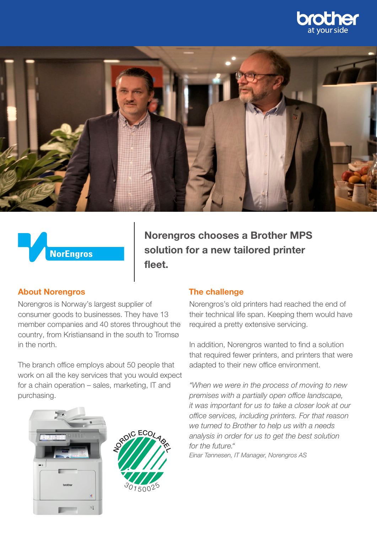





Norengros chooses a Brother MPS solution for a new tailored printer fleet.

### About Norengros

Norengros is Norway's largest supplier of consumer goods to businesses. They have 13 member companies and 40 stores throughout the country, from Kristiansand in the south to Tromsø in the north.

The branch office employs about 50 people that work on all the key services that you would expect for a chain operation – sales, marketing, IT and purchasing.





#### The challenge

Norengros's old printers had reached the end of their technical life span. Keeping them would have required a pretty extensive servicing.

In addition, Norengros wanted to find a solution that required fewer printers, and printers that were adapted to their new office environment.

*"When we were in the process of moving to new premises with a partially open office landscape, it was important for us to take a closer look at our office services, including printers. For that reason we turned to Brother to help us with a needs analysis in order for us to get the best solution for the future."*

*Einar Tønnesen, IT Manager, Norengros AS*